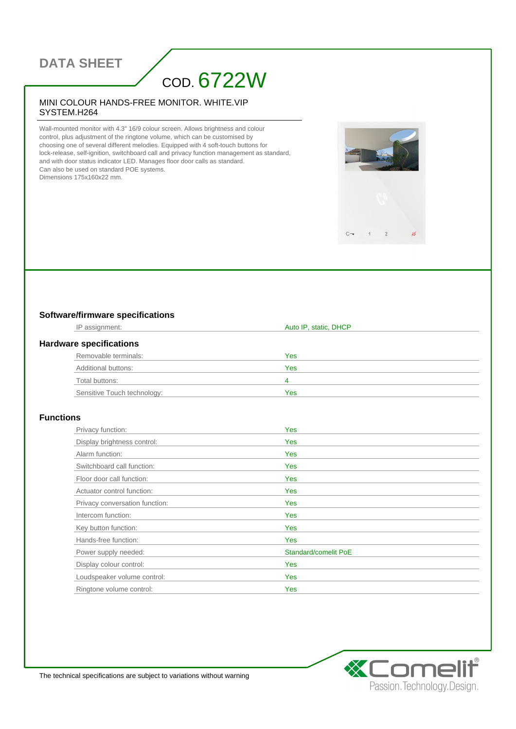## **DATA SHEET**

# COD. 6722W

#### MINI COLOUR HANDS-FREE MONITOR. WHITE.VIP SYSTEM.H264

Wall-mounted monitor with 4.3" 16/9 colour screen. Allows brightness and colour control, plus adjustment of the ringtone volume, which can be customised by choosing one of several different melodies. Equipped with 4 soft-touch buttons for lock-release, self-ignition, switchboard call and privacy function management as standard, and with door status indicator LED. Manages floor door calls as standard. Can also be used on standard POE systems. Dimensions 175x160x22 mm.

### **Software/firmware specifications**

| IP assignment:                 | Auto IP, static, DHCP |  |
|--------------------------------|-----------------------|--|
| <b>Hardware specifications</b> |                       |  |
| Removable terminals:           | Yes                   |  |
| Additional buttons:            | Yes                   |  |
| Total buttons:                 | 4                     |  |
| Sensitive Touch technology:    | Yes                   |  |

 $C -$ 

 $\overline{1}$  $\overline{c}$   $\mathscr{A}$ 

#### **Functions**

| Privacy function:              | Yes                  |
|--------------------------------|----------------------|
| Display brightness control:    | <b>Yes</b>           |
| Alarm function:                | Yes                  |
| Switchboard call function:     | <b>Yes</b>           |
| Floor door call function:      | Yes                  |
| Actuator control function:     | Yes                  |
| Privacy conversation function: | <b>Yes</b>           |
| Intercom function:             | <b>Yes</b>           |
| Key button function:           | <b>Yes</b>           |
| Hands-free function:           | Yes                  |
| Power supply needed:           | Standard/comelit PoE |
| Display colour control:        | Yes                  |
| Loudspeaker volume control:    | Yes                  |
| Ringtone volume control:       | Yes                  |



The technical specifications are subject to variations without warning